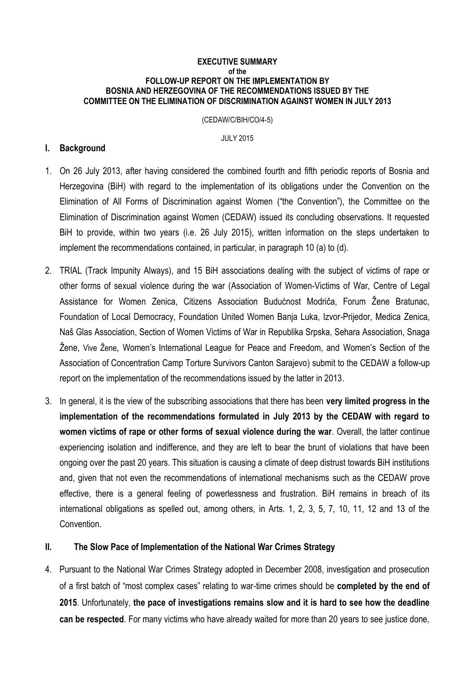### **EXECUTIVE SUMMARY of the FOLLOW-UP REPORT ON THE IMPLEMENTATION BY BOSNIA AND HERZEGOVINA OF THE RECOMMENDATIONS ISSUED BY THE COMMITTEE ON THE ELIMINATION OF DISCRIMINATION AGAINST WOMEN IN JULY 2013**

(CEDAW/C/BIH/CO/4-5)

JULY 2015

# **I. Background**

- 1. On 26 July 2013, after having considered the combined fourth and fifth periodic reports of Bosnia and Herzegovina (BiH) with regard to the implementation of its obligations under the Convention on the Elimination of All Forms of Discrimination against Women ("the Convention"), the Committee on the Elimination of Discrimination against Women (CEDAW) issued its concluding observations. It requested BiH to provide, within two years (i.e. 26 July 2015), written information on the steps undertaken to implement the recommendations contained, in particular, in paragraph 10 (a) to (d).
- 2. TRIAL (Track Impunity Always), and 15 BiH associations dealing with the subject of victims of rape or other forms of sexual violence during the war (Association of Women-Victims of War, Centre of Legal Assistance for Women Zenica, Citizens Association Budućnost Modriča, Forum Žene Bratunac, Foundation of Local Democracy, Foundation United Women Banja Luka, Izvor-Prijedor, Medica Zenica, Naš Glas Association, Section of Women Victims of War in Republika Srpska, Sehara Association, Snaga Žene, Vive Žene, Women's International League for Peace and Freedom, and Women's Section of the Association of Concentration Camp Torture Survivors Canton Sarajevo) submit to the CEDAW a follow-up report on the implementation of the recommendations issued by the latter in 2013.
- 3. In general, it is the view of the subscribing associations that there has been **very limited progress in the implementation of the recommendations formulated in July 2013 by the CEDAW with regard to women victims of rape or other forms of sexual violence during the war**. Overall, the latter continue experiencing isolation and indifference, and they are left to bear the brunt of violations that have been ongoing over the past 20 years. This situation is causing a climate of deep distrust towards BiH institutions and, given that not even the recommendations of international mechanisms such as the CEDAW prove effective, there is a general feeling of powerlessness and frustration. BiH remains in breach of its international obligations as spelled out, among others, in Arts. 1, 2, 3, 5, 7, 10, 11, 12 and 13 of the Convention.

# **II. The Slow Pace of Implementation of the National War Crimes Strategy**

4. Pursuant to the National War Crimes Strategy adopted in December 2008, investigation and prosecution of a first batch of "most complex cases" relating to war-time crimes should be **completed by the end of 2015**. Unfortunately, **the pace of investigations remains slow and it is hard to see how the deadline can be respected**. For many victims who have already waited for more than 20 years to see justice done,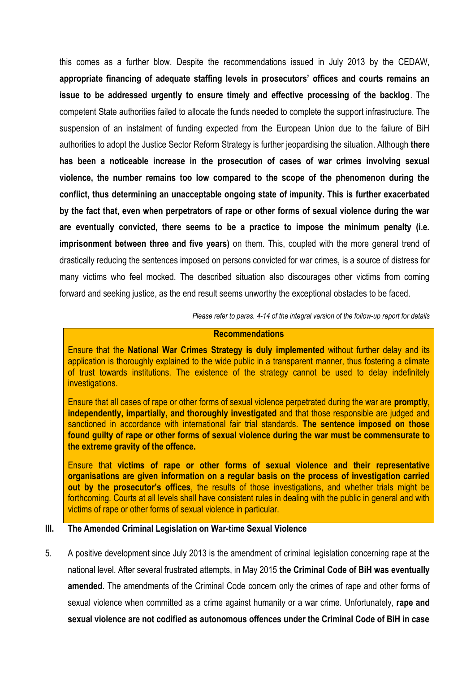this comes as a further blow. Despite the recommendations issued in July 2013 by the CEDAW, **appropriate financing of adequate staffing levels in prosecutors' offices and courts remains an issue to be addressed urgently to ensure timely and effective processing of the backlog**. The competent State authorities failed to allocate the funds needed to complete the support infrastructure. The suspension of an instalment of funding expected from the European Union due to the failure of BiH authorities to adopt the Justice Sector Reform Strategy is further jeopardising the situation. Although **there has been a noticeable increase in the prosecution of cases of war crimes involving sexual violence, the number remains too low compared to the scope of the phenomenon during the conflict, thus determining an unacceptable ongoing state of impunity. This is further exacerbated by the fact that, even when perpetrators of rape or other forms of sexual violence during the war are eventually convicted, there seems to be a practice to impose the minimum penalty (i.e. imprisonment between three and five years)** on them. This, coupled with the more general trend of drastically reducing the sentences imposed on persons convicted for war crimes, is a source of distress for many victims who feel mocked. The described situation also discourages other victims from coming forward and seeking justice, as the end result seems unworthy the exceptional obstacles to be faced.

*Please refer to paras. 4-14 of the integral version of the follow-up report for details*

### **Recommendations**

Ensure that the **National War Crimes Strategy is duly implemented** without further delay and its application is thoroughly explained to the wide public in a transparent manner, thus fostering a climate of trust towards institutions. The existence of the strategy cannot be used to delay indefinitely investigations.

Ensure that all cases of rape or other forms of sexual violence perpetrated during the war are **promptly, independently, impartially, and thoroughly investigated** and that those responsible are judged and sanctioned in accordance with international fair trial standards. **The sentence imposed on those found guilty of rape or other forms of sexual violence during the war must be commensurate to the extreme gravity of the offence.**

Ensure that **victims of rape or other forms of sexual violence and their representative organisations are given information on a regular basis on the process of investigation carried out by the prosecutor's offices**, the results of those investigations, and whether trials might be forthcoming. Courts at all levels shall have consistent rules in dealing with the public in general and with victims of rape or other forms of sexual violence in particular.

## **III. The Amended Criminal Legislation on War-time Sexual Violence**

5. A positive development since July 2013 is the amendment of criminal legislation concerning rape at the national level. After several frustrated attempts, in May 2015 **the Criminal Code of BiH was eventually amended**. The amendments of the Criminal Code concern only the crimes of rape and other forms of sexual violence when committed as a crime against humanity or a war crime. Unfortunately, **rape and sexual violence are not codified as autonomous offences under the Criminal Code of BiH in case**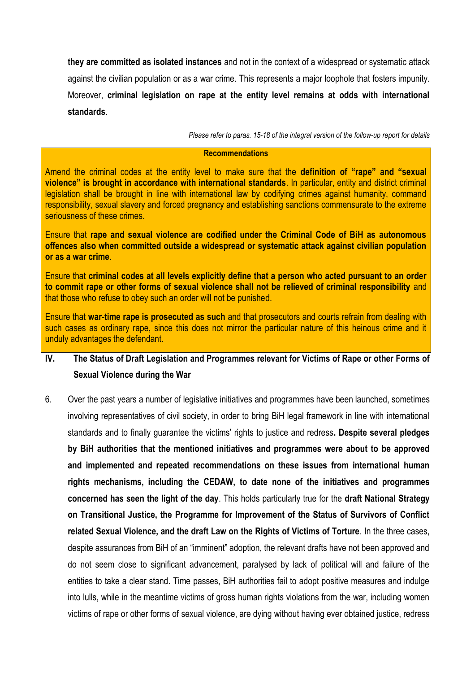**they are committed as isolated instances** and not in the context of a widespread or systematic attack against the civilian population or as a war crime. This represents a major loophole that fosters impunity. Moreover, **criminal legislation on rape at the entity level remains at odds with international standards**.

*Please refer to paras. 15-18 of the integral version of the follow-up report for details*

## **Recommendations**

Amend the criminal codes at the entity level to make sure that the **definition of "rape" and "sexual violence" is brought in accordance with international standards**. In particular, entity and district criminal legislation shall be brought in line with international law by codifying crimes against humanity, command responsibility, sexual slavery and forced pregnancy and establishing sanctions commensurate to the extreme seriousness of these crimes.

Ensure that **rape and sexual violence are codified under the Criminal Code of BiH as autonomous offences also when committed outside a widespread or systematic attack against civilian population or as a war crime**.

Ensure that **criminal codes at all levels explicitly define that a person who acted pursuant to an order to commit rape or other forms of sexual violence shall not be relieved of criminal responsibility** and that those who refuse to obey such an order will not be punished.

Ensure that **war-time rape is prosecuted as such** and that prosecutors and courts refrain from dealing with such cases as ordinary rape, since this does not mirror the particular nature of this heinous crime and it unduly advantages the defendant.

# **IV. The Status of Draft Legislation and Programmes relevant for Victims of Rape or other Forms of Sexual Violence during the War**

6. Over the past years a number of legislative initiatives and programmes have been launched, sometimes involving representatives of civil society, in order to bring BiH legal framework in line with international standards and to finally guarantee the victims' rights to justice and redress**. Despite several pledges by BiH authorities that the mentioned initiatives and programmes were about to be approved and implemented and repeated recommendations on these issues from international human rights mechanisms, including the CEDAW, to date none of the initiatives and programmes concerned has seen the light of the day**. This holds particularly true for the **draft National Strategy on Transitional Justice, the Programme for Improvement of the Status of Survivors of Conflict related Sexual Violence, and the draft Law on the Rights of Victims of Torture**. In the three cases, despite assurances from BiH of an "imminent" adoption, the relevant drafts have not been approved and do not seem close to significant advancement, paralysed by lack of political will and failure of the entities to take a clear stand. Time passes, BiH authorities fail to adopt positive measures and indulge into lulls, while in the meantime victims of gross human rights violations from the war, including women victims of rape or other forms of sexual violence, are dying without having ever obtained justice, redress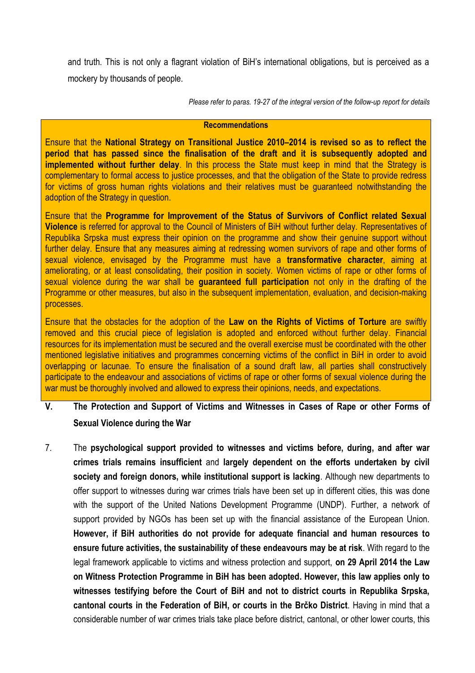and truth. This is not only a flagrant violation of BiH's international obligations, but is perceived as a mockery by thousands of people.

*Please refer to paras. 19-27 of the integral version of the follow-up report for details*

### **Recommendations**

Ensure that the **National Strategy on Transitional Justice 2010–2014 is revised so as to reflect the period that has passed since the finalisation of the draft and it is subsequently adopted and implemented without further delay**. In this process the State must keep in mind that the Strategy is complementary to formal access to justice processes, and that the obligation of the State to provide redress for victims of gross human rights violations and their relatives must be guaranteed notwithstanding the adoption of the Strategy in question.

Ensure that the **Programme for Improvement of the Status of Survivors of Conflict related Sexual Violence** is referred for approval to the Council of Ministers of BiH without further delay. Representatives of Republika Srpska must express their opinion on the programme and show their genuine support without further delay. Ensure that any measures aiming at redressing women survivors of rape and other forms of sexual violence, envisaged by the Programme must have a **transformative character**, aiming at ameliorating, or at least consolidating, their position in society. Women victims of rape or other forms of sexual violence during the war shall be **guaranteed full participation** not only in the drafting of the Programme or other measures, but also in the subsequent implementation, evaluation, and decision-making processes.

Ensure that the obstacles for the adoption of the **Law on the Rights of Victims of Torture** are swiftly removed and this crucial piece of legislation is adopted and enforced without further delay. Financial resources for its implementation must be secured and the overall exercise must be coordinated with the other mentioned legislative initiatives and programmes concerning victims of the conflict in BiH in order to avoid overlapping or lacunae. To ensure the finalisation of a sound draft law, all parties shall constructively participate to the endeavour and associations of victims of rape or other forms of sexual violence during the war must be thoroughly involved and allowed to express their opinions, needs, and expectations.

- **V. The Protection and Support of Victims and Witnesses in Cases of Rape or other Forms of Sexual Violence during the War**
- 7. The **psychological support provided to witnesses and victims before, during, and after war crimes trials remains insufficient** and **largely dependent on the efforts undertaken by civil society and foreign donors, while institutional support is lacking**. Although new departments to offer support to witnesses during war crimes trials have been set up in different cities, this was done with the support of the United Nations Development Programme (UNDP). Further, a network of support provided by NGOs has been set up with the financial assistance of the European Union. **However, if BiH authorities do not provide for adequate financial and human resources to ensure future activities, the sustainability of these endeavours may be at risk**. With regard to the legal framework applicable to victims and witness protection and support, **on 29 April 2014 the Law on Witness Protection Programme in BiH has been adopted. However, this law applies only to witnesses testifying before the Court of BiH and not to district courts in Republika Srpska, cantonal courts in the Federation of BiH, or courts in the Brčko District**. Having in mind that a considerable number of war crimes trials take place before district, cantonal, or other lower courts, this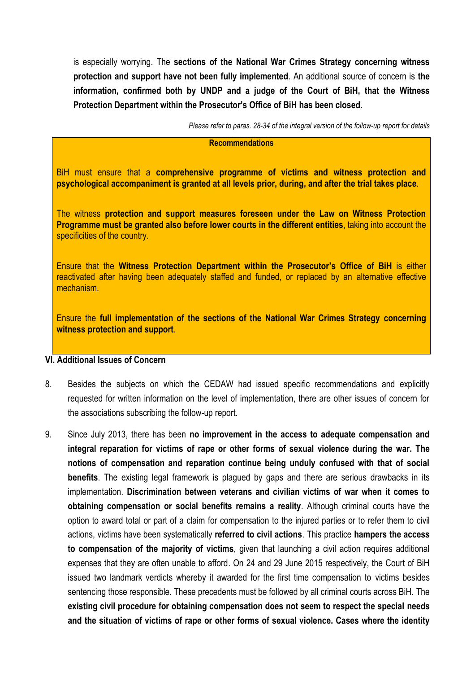is especially worrying. The **sections of the National War Crimes Strategy concerning witness protection and support have not been fully implemented**. An additional source of concern is **the information, confirmed both by UNDP and a judge of the Court of BiH, that the Witness Protection Department within the Prosecutor's Office of BiH has been closed**.

*Please refer to paras. 28-34 of the integral version of the follow-up report for details*

### **Recommendations**

BiH must ensure that a **comprehensive programme of victims and witness protection and psychological accompaniment is granted at all levels prior, during, and after the trial takes place**.

The witness **protection and support measures foreseen under the Law on Witness Protection Programme must be granted also before lower courts in the different entities**, taking into account the specificities of the country.

Ensure that the **Witness Protection Department within the Prosecutor's Office of BiH** is either reactivated after having been adequately staffed and funded, or replaced by an alternative effective mechanism.

Ensure the **full implementation of the sections of the National War Crimes Strategy concerning witness protection and support**.

# **VI. Additional Issues of Concern**

- 8. Besides the subjects on which the CEDAW had issued specific recommendations and explicitly requested for written information on the level of implementation, there are other issues of concern for the associations subscribing the follow-up report.
- 9. Since July 2013, there has been **no improvement in the access to adequate compensation and integral reparation for victims of rape or other forms of sexual violence during the war. The notions of compensation and reparation continue being unduly confused with that of social benefits**. The existing legal framework is plagued by gaps and there are serious drawbacks in its implementation. **Discrimination between veterans and civilian victims of war when it comes to obtaining compensation or social benefits remains a reality**. Although criminal courts have the option to award total or part of a claim for compensation to the injured parties or to refer them to civil actions, victims have been systematically **referred to civil actions**. This practice **hampers the access to compensation of the majority of victims**, given that launching a civil action requires additional expenses that they are often unable to afford. On 24 and 29 June 2015 respectively, the Court of BiH issued two landmark verdicts whereby it awarded for the first time compensation to victims besides sentencing those responsible. These precedents must be followed by all criminal courts across BiH. The **existing civil procedure for obtaining compensation does not seem to respect the special needs and the situation of victims of rape or other forms of sexual violence. Cases where the identity**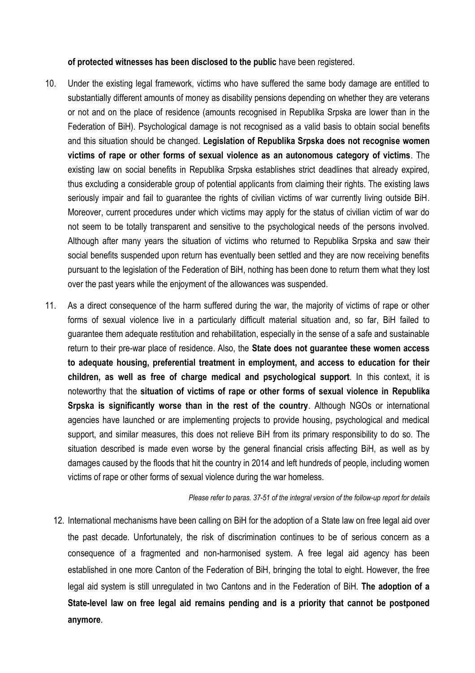**of protected witnesses has been disclosed to the public** have been registered.

- 10. Under the existing legal framework, victims who have suffered the same body damage are entitled to substantially different amounts of money as disability pensions depending on whether they are veterans or not and on the place of residence (amounts recognised in Republika Srpska are lower than in the Federation of BiH). Psychological damage is not recognised as a valid basis to obtain social benefits and this situation should be changed. **Legislation of Republika Srpska does not recognise women victims of rape or other forms of sexual violence as an autonomous category of victims**. The existing law on social benefits in Republika Srpska establishes strict deadlines that already expired, thus excluding a considerable group of potential applicants from claiming their rights. The existing laws seriously impair and fail to guarantee the rights of civilian victims of war currently living outside BiH. Moreover, current procedures under which victims may apply for the status of civilian victim of war do not seem to be totally transparent and sensitive to the psychological needs of the persons involved. Although after many years the situation of victims who returned to Republika Srpska and saw their social benefits suspended upon return has eventually been settled and they are now receiving benefits pursuant to the legislation of the Federation of BiH, nothing has been done to return them what they lost over the past years while the enjoyment of the allowances was suspended.
- 11. As a direct consequence of the harm suffered during the war, the majority of victims of rape or other forms of sexual violence live in a particularly difficult material situation and, so far, BiH failed to guarantee them adequate restitution and rehabilitation, especially in the sense of a safe and sustainable return to their pre-war place of residence. Also, the **State does not guarantee these women access to adequate housing, preferential treatment in employment, and access to education for their children, as well as free of charge medical and psychological support**. In this context, it is noteworthy that the **situation of victims of rape or other forms of sexual violence in Republika Srpska is significantly worse than in the rest of the country**. Although NGOs or international agencies have launched or are implementing projects to provide housing, psychological and medical support, and similar measures, this does not relieve BiH from its primary responsibility to do so. The situation described is made even worse by the general financial crisis affecting BiH, as well as by damages caused by the floods that hit the country in 2014 and left hundreds of people, including women victims of rape or other forms of sexual violence during the war homeless.

*Please refer to paras. 37-51 of the integral version of the follow-up report for details*

12. International mechanisms have been calling on BiH for the adoption of a State law on free legal aid over the past decade. Unfortunately, the risk of discrimination continues to be of serious concern as a consequence of a fragmented and non-harmonised system. A free legal aid agency has been established in one more Canton of the Federation of BiH, bringing the total to eight. However, the free legal aid system is still unregulated in two Cantons and in the Federation of BiH. **The adoption of a State-level law on free legal aid remains pending and is a priority that cannot be postponed anymore**.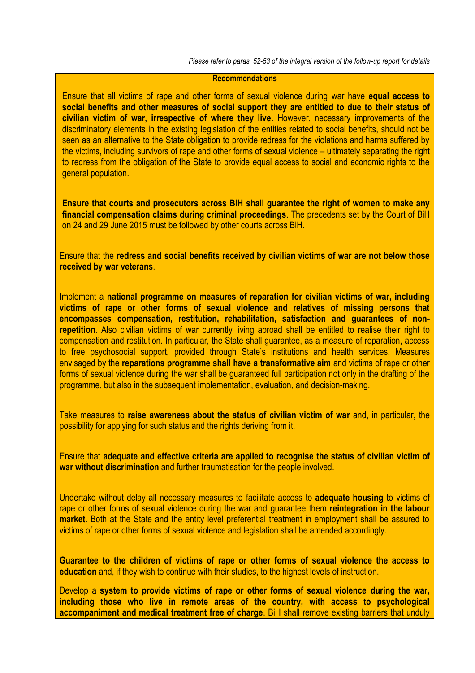*Please refer to paras. 52-53 of the integral version of the follow-up report for details*

### **Recommendations**

Ensure that all victims of rape and other forms of sexual violence during war have **equal access to social benefits and other measures of social support they are entitled to due to their status of civilian victim of war, irrespective of where they live**. However, necessary improvements of the discriminatory elements in the existing legislation of the entities related to social benefits, should not be seen as an alternative to the State obligation to provide redress for the violations and harms suffered by the victims, including survivors of rape and other forms of sexual violence – ultimately separating the right to redress from the obligation of the State to provide equal access to social and economic rights to the general population.

**Ensure that courts and prosecutors across BiH shall guarantee the right of women to make any financial compensation claims during criminal proceedings**. The precedents set by the Court of BiH on 24 and 29 June 2015 must be followed by other courts across BiH.

Ensure that the **redress and social benefits received by civilian victims of war are not below those received by war veterans**.

Implement a **national programme on measures of reparation for civilian victims of war, including victims of rape or other forms of sexual violence and relatives of missing persons that encompasses compensation, restitution, rehabilitation, satisfaction and guarantees of nonrepetition**. Also civilian victims of war currently living abroad shall be entitled to realise their right to compensation and restitution. In particular, the State shall guarantee, as a measure of reparation, access to free psychosocial support, provided through State's institutions and health services. Measures envisaged by the **reparations programme shall have a transformative aim** and victims of rape or other forms of sexual violence during the war shall be guaranteed full participation not only in the drafting of the programme, but also in the subsequent implementation, evaluation, and decision-making.

Take measures to **raise awareness about the status of civilian victim of war** and, in particular, the possibility for applying for such status and the rights deriving from it.

Ensure that **adequate and effective criteria are applied to recognise the status of civilian victim of war without discrimination** and further traumatisation for the people involved.

Undertake without delay all necessary measures to facilitate access to **adequate housing** to victims of rape or other forms of sexual violence during the war and guarantee them **reintegration in the labour market**. Both at the State and the entity level preferential treatment in employment shall be assured to victims of rape or other forms of sexual violence and legislation shall be amended accordingly.

**Guarantee to the children of victims of rape or other forms of sexual violence the access to education** and, if they wish to continue with their studies, to the highest levels of instruction.

Develop a **system to provide victims of rape or other forms of sexual violence during the war, including those who live in remote areas of the country, with access to psychological accompaniment and medical treatment free of charge**. BiH shall remove existing barriers that unduly